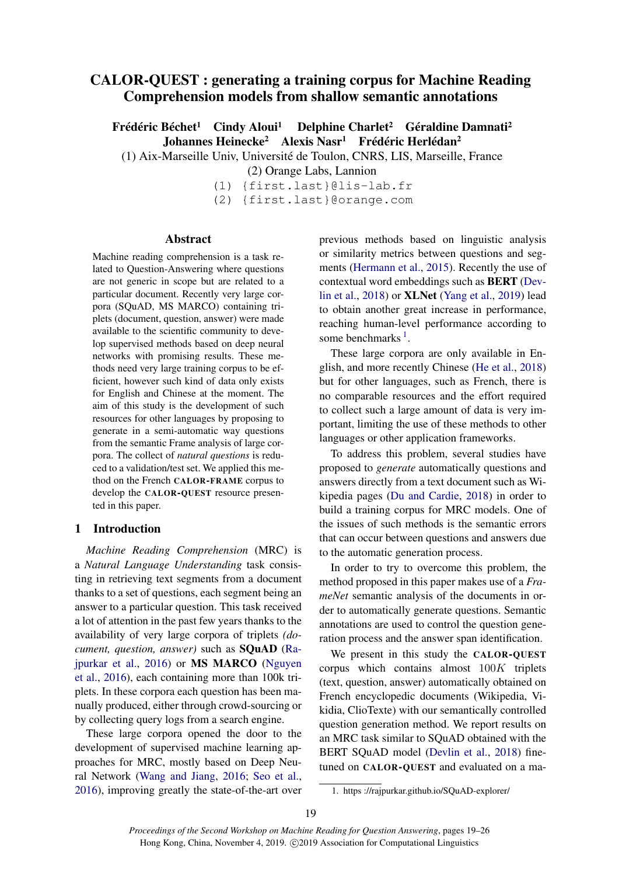# CALOR-QUEST : generating a training corpus for Machine Reading Comprehension models from shallow semantic annotations

Frédéric Béchet<sup>1</sup> Cindy Aloui<sup>1</sup> Delphine Charlet<sup>2</sup> Géraldine Damnati<sup>2</sup> Johannes Heinecke<sup>2</sup> Alexis Nasr<sup>1</sup> Frédéric Herlédan<sup>2</sup>

(1) Aix-Marseille Univ, Université de Toulon, CNRS, LIS, Marseille, France

(2) Orange Labs, Lannion

- (1) {first.last}@lis-lab.fr
- (2) {first.last}@orange.com

#### Abstract

Machine reading comprehension is a task related to Question-Answering where questions are not generic in scope but are related to a particular document. Recently very large corpora (SQuAD, MS MARCO) containing triplets (document, question, answer) were made available to the scientific community to develop supervised methods based on deep neural networks with promising results. These methods need very large training corpus to be efficient, however such kind of data only exists for English and Chinese at the moment. The aim of this study is the development of such resources for other languages by proposing to generate in a semi-automatic way questions from the semantic Frame analysis of large corpora. The collect of *natural questions* is reduced to a validation/test set. We applied this method on the French CALOR-FRAME corpus to develop the CALOR-QUEST resource presented in this paper.

### 1 Introduction

*Machine Reading Comprehension* (MRC) is a *Natural Language Understanding* task consisting in retrieving text segments from a document thanks to a set of questions, each segment being an answer to a particular question. This task received a lot of attention in the past few years thanks to the availability of very large corpora of triplets *(document, question, answer)* such as SQuAD (Rajpurkar et al., 2016) or MS MARCO (Nguyen et al., 2016), each containing more than 100k triplets. In these corpora each question has been manually produced, either through crowd-sourcing or by collecting query logs from a search engine.

These large corpora opened the door to the development of supervised machine learning approaches for MRC, mostly based on Deep Neural Network (Wang and Jiang, 2016; Seo et al., 2016), improving greatly the state-of-the-art over previous methods based on linguistic analysis or similarity metrics between questions and segments (Hermann et al., 2015). Recently the use of contextual word embeddings such as BERT (Devlin et al., 2018) or XLNet (Yang et al., 2019) lead to obtain another great increase in performance, reaching human-level performance according to some benchmarks  $<sup>1</sup>$ .</sup>

These large corpora are only available in English, and more recently Chinese (He et al., 2018) but for other languages, such as French, there is no comparable resources and the effort required to collect such a large amount of data is very important, limiting the use of these methods to other languages or other application frameworks.

To address this problem, several studies have proposed to *generate* automatically questions and answers directly from a text document such as Wikipedia pages (Du and Cardie, 2018) in order to build a training corpus for MRC models. One of the issues of such methods is the semantic errors that can occur between questions and answers due to the automatic generation process.

In order to try to overcome this problem, the method proposed in this paper makes use of a *FrameNet* semantic analysis of the documents in order to automatically generate questions. Semantic annotations are used to control the question generation process and the answer span identification.

We present in this study the CALOR-QUEST corpus which contains almost 100K triplets (text, question, answer) automatically obtained on French encyclopedic documents (Wikipedia, Vikidia, ClioTexte) with our semantically controlled question generation method. We report results on an MRC task similar to SQuAD obtained with the BERT SQuAD model (Devlin et al., 2018) finetuned on CALOR-QUEST and evaluated on a ma-

<sup>1.</sup> https ://rajpurkar.github.io/SQuAD-explorer/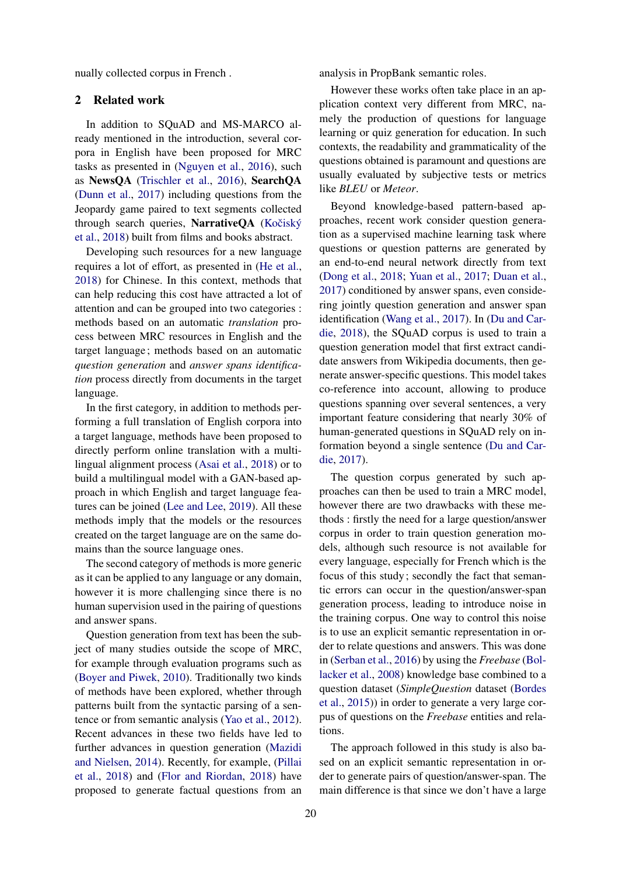nually collected corpus in French .

### 2 Related work

In addition to SQuAD and MS-MARCO already mentioned in the introduction, several corpora in English have been proposed for MRC tasks as presented in (Nguyen et al., 2016), such as NewsQA (Trischler et al., 2016), SearchQA (Dunn et al., 2017) including questions from the Jeopardy game paired to text segments collected through search queries, NarrativeQA (Kočiský et al., 2018) built from films and books abstract.

Developing such resources for a new language requires a lot of effort, as presented in (He et al., 2018) for Chinese. In this context, methods that can help reducing this cost have attracted a lot of attention and can be grouped into two categories : methods based on an automatic *translation* process between MRC resources in English and the target language; methods based on an automatic *question generation* and *answer spans identification* process directly from documents in the target language.

In the first category, in addition to methods performing a full translation of English corpora into a target language, methods have been proposed to directly perform online translation with a multilingual alignment process (Asai et al., 2018) or to build a multilingual model with a GAN-based approach in which English and target language features can be joined (Lee and Lee, 2019). All these methods imply that the models or the resources created on the target language are on the same domains than the source language ones.

The second category of methods is more generic as it can be applied to any language or any domain, however it is more challenging since there is no human supervision used in the pairing of questions and answer spans.

Question generation from text has been the subject of many studies outside the scope of MRC, for example through evaluation programs such as (Boyer and Piwek, 2010). Traditionally two kinds of methods have been explored, whether through patterns built from the syntactic parsing of a sentence or from semantic analysis (Yao et al., 2012). Recent advances in these two fields have led to further advances in question generation (Mazidi and Nielsen, 2014). Recently, for example, (Pillai et al., 2018) and (Flor and Riordan, 2018) have proposed to generate factual questions from an

analysis in PropBank semantic roles.

However these works often take place in an application context very different from MRC, namely the production of questions for language learning or quiz generation for education. In such contexts, the readability and grammaticality of the questions obtained is paramount and questions are usually evaluated by subjective tests or metrics like *BLEU* or *Meteor*.

Beyond knowledge-based pattern-based approaches, recent work consider question generation as a supervised machine learning task where questions or question patterns are generated by an end-to-end neural network directly from text (Dong et al., 2018; Yuan et al., 2017; Duan et al., 2017) conditioned by answer spans, even considering jointly question generation and answer span identification (Wang et al., 2017). In (Du and Cardie, 2018), the SQuAD corpus is used to train a question generation model that first extract candidate answers from Wikipedia documents, then generate answer-specific questions. This model takes co-reference into account, allowing to produce questions spanning over several sentences, a very important feature considering that nearly 30% of human-generated questions in SQuAD rely on information beyond a single sentence (Du and Cardie, 2017).

The question corpus generated by such approaches can then be used to train a MRC model, however there are two drawbacks with these methods : firstly the need for a large question/answer corpus in order to train question generation models, although such resource is not available for every language, especially for French which is the focus of this study; secondly the fact that semantic errors can occur in the question/answer-span generation process, leading to introduce noise in the training corpus. One way to control this noise is to use an explicit semantic representation in order to relate questions and answers. This was done in (Serban et al., 2016) by using the *Freebase* (Bollacker et al., 2008) knowledge base combined to a question dataset (*SimpleQuestion* dataset (Bordes et al., 2015)) in order to generate a very large corpus of questions on the *Freebase* entities and relations.

The approach followed in this study is also based on an explicit semantic representation in order to generate pairs of question/answer-span. The main difference is that since we don't have a large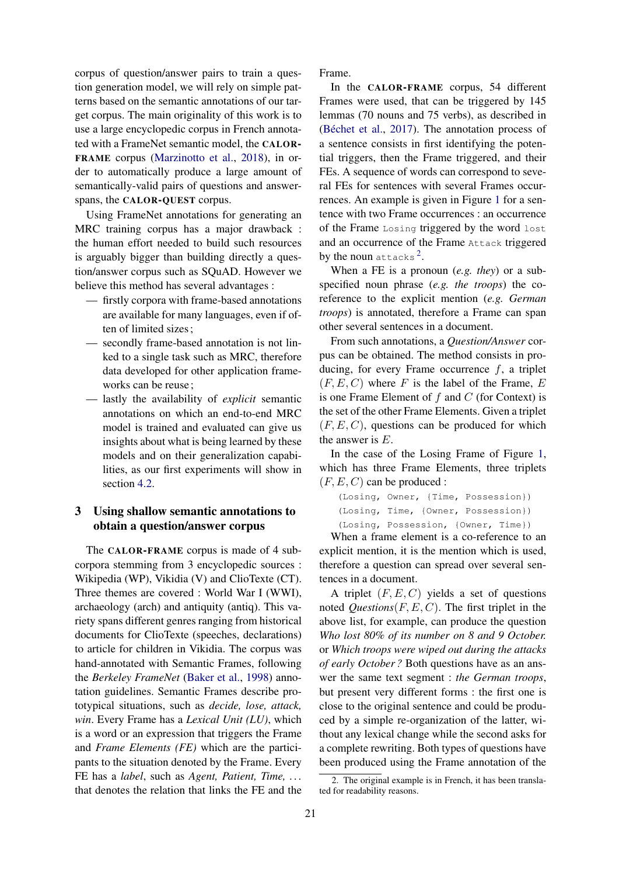corpus of question/answer pairs to train a question generation model, we will rely on simple patterns based on the semantic annotations of our target corpus. The main originality of this work is to use a large encyclopedic corpus in French annotated with a FrameNet semantic model, the CALOR-FRAME corpus (Marzinotto et al., 2018), in order to automatically produce a large amount of semantically-valid pairs of questions and answerspans, the CALOR-QUEST corpus.

Using FrameNet annotations for generating an MRC training corpus has a major drawback : the human effort needed to build such resources is arguably bigger than building directly a question/answer corpus such as SQuAD. However we believe this method has several advantages :

- firstly corpora with frame-based annotations are available for many languages, even if often of limited sizes;
- secondly frame-based annotation is not linked to a single task such as MRC, therefore data developed for other application frameworks can be reuse;
- lastly the availability of *explicit* semantic annotations on which an end-to-end MRC model is trained and evaluated can give us insights about what is being learned by these models and on their generalization capabilities, as our first experiments will show in section 4.2.

# 3 Using shallow semantic annotations to obtain a question/answer corpus

The CALOR-FRAME corpus is made of 4 subcorpora stemming from 3 encyclopedic sources : Wikipedia (WP), Vikidia (V) and ClioTexte (CT). Three themes are covered : World War I (WWI), archaeology (arch) and antiquity (antiq). This variety spans different genres ranging from historical documents for ClioTexte (speeches, declarations) to article for children in Vikidia. The corpus was hand-annotated with Semantic Frames, following the *Berkeley FrameNet* (Baker et al., 1998) annotation guidelines. Semantic Frames describe prototypical situations, such as *decide, lose, attack, win*. Every Frame has a *Lexical Unit (LU)*, which is a word or an expression that triggers the Frame and *Frame Elements (FE)* which are the participants to the situation denoted by the Frame. Every FE has a *label*, such as *Agent, Patient, Time, . . .* that denotes the relation that links the FE and the Frame.

In the CALOR-FRAME corpus, 54 different Frames were used, that can be triggered by 145 lemmas (70 nouns and 75 verbs), as described in (Béchet et al., 2017). The annotation process of a sentence consists in first identifying the potential triggers, then the Frame triggered, and their FEs. A sequence of words can correspond to several FEs for sentences with several Frames occurrences. An example is given in Figure 1 for a sentence with two Frame occurrences : an occurrence of the Frame Losing triggered by the word lost and an occurrence of the Frame Attack triggered by the noun attacks<sup>2</sup>.

When a FE is a pronoun (*e.g. they*) or a subspecified noun phrase (*e.g. the troops*) the coreference to the explicit mention (*e.g. German troops*) is annotated, therefore a Frame can span other several sentences in a document.

From such annotations, a *Question/Answer* corpus can be obtained. The method consists in producing, for every Frame occurrence  $f$ , a triplet  $(F, E, C)$  where F is the label of the Frame, E is one Frame Element of  $f$  and  $C$  (for Context) is the set of the other Frame Elements. Given a triplet  $(F, E, C)$ , questions can be produced for which the answer is E.

In the case of the Losing Frame of Figure 1, which has three Frame Elements, three triplets  $(F, E, C)$  can be produced :

```
(Losing, Owner, {Time, Possession})
(Losing, Time, {Owner, Possession})
(Losing, Possession, {Owner, Time})
```
When a frame element is a co-reference to an explicit mention, it is the mention which is used, therefore a question can spread over several sentences in a document.

A triplet  $(F, E, C)$  yields a set of questions noted *Questions* $(F, E, C)$ . The first triplet in the above list, for example, can produce the question *Who lost 80% of its number on 8 and 9 October.* or *Which troops were wiped out during the attacks of early October ?* Both questions have as an answer the same text segment : *the German troops*, but present very different forms : the first one is close to the original sentence and could be produced by a simple re-organization of the latter, without any lexical change while the second asks for a complete rewriting. Both types of questions have been produced using the Frame annotation of the

<sup>2.</sup> The original example is in French, it has been translated for readability reasons.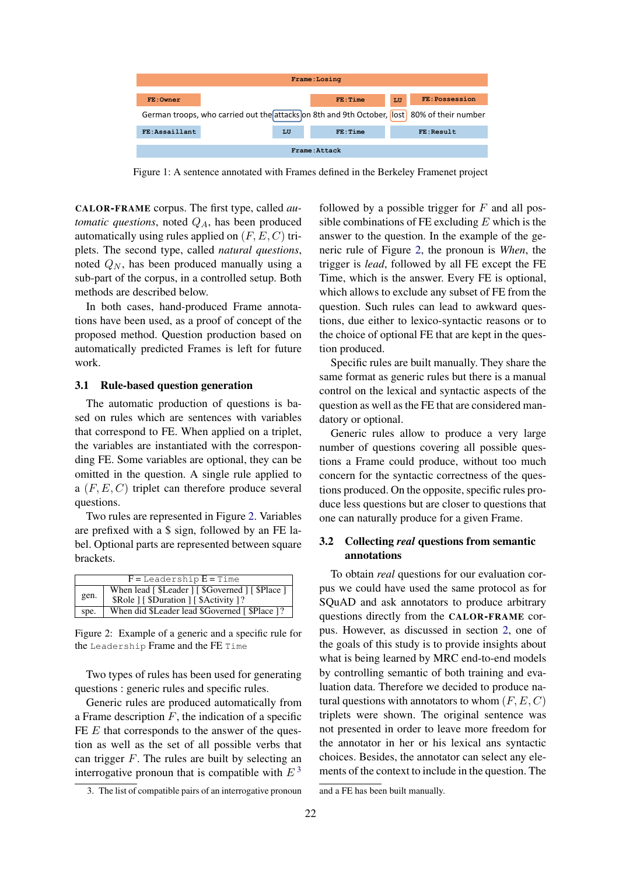

Figure 1: A sentence annotated with Frames defined in the Berkeley Framenet project

CALOR-FRAME corpus. The first type, called *automatic questions*, noted  $Q_A$ , has been produced automatically using rules applied on  $(F, E, C)$  triplets. The second type, called *natural questions*, noted  $Q_N$ , has been produced manually using a sub-part of the corpus, in a controlled setup. Both methods are described below.

In both cases, hand-produced Frame annotations have been used, as a proof of concept of the proposed method. Question production based on automatically predicted Frames is left for future work.

#### 3.1 Rule-based question generation

The automatic production of questions is based on rules which are sentences with variables that correspond to FE. When applied on a triplet, the variables are instantiated with the corresponding FE. Some variables are optional, they can be omitted in the question. A single rule applied to a  $(F, E, C)$  triplet can therefore produce several questions.

Two rules are represented in Figure 2. Variables are prefixed with a \$ sign, followed by an FE label. Optional parts are represented between square brackets.

| $F =$ Leadership $E =$ Time |                                                   |  |
|-----------------------------|---------------------------------------------------|--|
|                             | When lead [ \$Leader ] [ \$Governed ] [ \$Place ] |  |
| gen.                        | \$Role   [\$Duration ] [\$Activity ]?             |  |
| spe.                        | When did \$Leader lead \$Governed [\$Place ]?     |  |

Figure 2: Example of a generic and a specific rule for the Leadership Frame and the FE Time

Two types of rules has been used for generating questions : generic rules and specific rules.

Generic rules are produced automatically from a Frame description  $F$ , the indication of a specific FE  $E$  that corresponds to the answer of the question as well as the set of all possible verbs that can trigger  $F$ . The rules are built by selecting an interrogative pronoun that is compatible with  $E<sup>3</sup>$ 

followed by a possible trigger for  $F$  and all possible combinations of FE excluding  $E$  which is the answer to the question. In the example of the generic rule of Figure 2, the pronoun is *When*, the trigger is *lead*, followed by all FE except the FE Time, which is the answer. Every FE is optional, which allows to exclude any subset of FE from the question. Such rules can lead to awkward questions, due either to lexico-syntactic reasons or to the choice of optional FE that are kept in the question produced.

Specific rules are built manually. They share the same format as generic rules but there is a manual control on the lexical and syntactic aspects of the question as well as the FE that are considered mandatory or optional.

Generic rules allow to produce a very large number of questions covering all possible questions a Frame could produce, without too much concern for the syntactic correctness of the questions produced. On the opposite, specific rules produce less questions but are closer to questions that one can naturally produce for a given Frame.

# 3.2 Collecting *real* questions from semantic annotations

To obtain *real* questions for our evaluation corpus we could have used the same protocol as for SQuAD and ask annotators to produce arbitrary questions directly from the CALOR-FRAME corpus. However, as discussed in section 2, one of the goals of this study is to provide insights about what is being learned by MRC end-to-end models by controlling semantic of both training and evaluation data. Therefore we decided to produce natural questions with annotators to whom  $(F, E, C)$ triplets were shown. The original sentence was not presented in order to leave more freedom for the annotator in her or his lexical ans syntactic choices. Besides, the annotator can select any elements of the context to include in the question. The

<sup>3.</sup> The list of compatible pairs of an interrogative pronoun

and a FE has been built manually.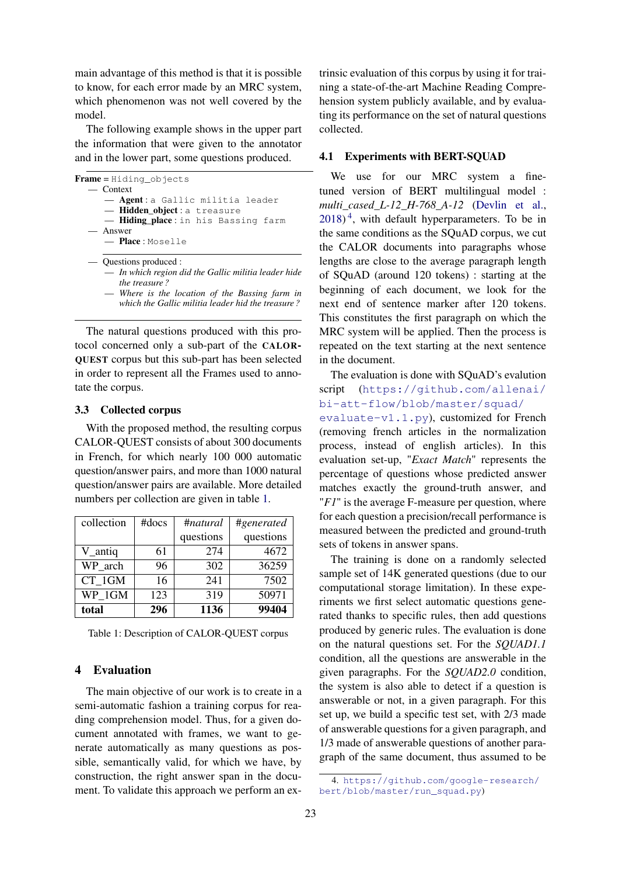main advantage of this method is that it is possible to know, for each error made by an MRC system, which phenomenon was not well covered by the model.

The following example shows in the upper part the information that were given to the annotator and in the lower part, some questions produced.

```
Frame = Hiding_objects
  — Context
      — Agent : a Gallic militia leader
      — Hidden_object : a treasure
       - Hiding_place: in his Bassing farm
    — Answer
      — Place : Moselle
    — Questions produced :
        — In which region did the Gallic militia leader hide
         the treasure ?
```
— *Where is the location of the Bassing farm in which the Gallic militia leader hid the treasure ?*

The natural questions produced with this protocol concerned only a sub-part of the CALOR-QUEST corpus but this sub-part has been selected in order to represent all the Frames used to annotate the corpus.

#### 3.3 Collected corpus

With the proposed method, the resulting corpus CALOR-QUEST consists of about 300 documents in French, for which nearly 100 000 automatic question/answer pairs, and more than 1000 natural question/answer pairs are available. More detailed numbers per collection are given in table 1.

| collection | $#$ docs | #natural  | #generated |
|------------|----------|-----------|------------|
|            |          | questions | questions  |
| V_antiq    | 61       | 274       | 4672       |
| WP_arch    | 96       | 302       | 36259      |
| CT 1GM     | 16       | 241       | 7502       |
| WP 1GM     | 123      | 319       | 50971      |
| total      | 296      | 1136      | 99404      |

|  | Table 1: Description of CALOR-QUEST corpus |  |
|--|--------------------------------------------|--|
|--|--------------------------------------------|--|

### 4 Evaluation

The main objective of our work is to create in a semi-automatic fashion a training corpus for reading comprehension model. Thus, for a given document annotated with frames, we want to generate automatically as many questions as possible, semantically valid, for which we have, by construction, the right answer span in the document. To validate this approach we perform an extrinsic evaluation of this corpus by using it for training a state-of-the-art Machine Reading Comprehension system publicly available, and by evaluating its performance on the set of natural questions collected.

#### 4.1 Experiments with BERT-SOUAD

We use for our MRC system a finetuned version of BERT multilingual model : *multi\_cased\_L-12\_H-768\_A-12* (Devlin et al.,  $2018$ <sup>4</sup>, with default hyperparameters. To be in the same conditions as the SQuAD corpus, we cut the CALOR documents into paragraphs whose lengths are close to the average paragraph length of SQuAD (around 120 tokens) : starting at the beginning of each document, we look for the next end of sentence marker after 120 tokens. This constitutes the first paragraph on which the MRC system will be applied. Then the process is repeated on the text starting at the next sentence in the document.

The evaluation is done with SQuAD's evalution script (https://github.com/allenai/ bi-att-flow/blob/master/squad/

evaluate-v1.1.py), customized for French (removing french articles in the normalization process, instead of english articles). In this evaluation set-up, "*Exact Match*" represents the percentage of questions whose predicted answer matches exactly the ground-truth answer, and "*F1*" is the average F-measure per question, where for each question a precision/recall performance is measured between the predicted and ground-truth sets of tokens in answer spans.

The training is done on a randomly selected sample set of 14K generated questions (due to our computational storage limitation). In these experiments we first select automatic questions generated thanks to specific rules, then add questions produced by generic rules. The evaluation is done on the natural questions set. For the *SQUAD1.1* condition, all the questions are answerable in the given paragraphs. For the *SQUAD2.0* condition, the system is also able to detect if a question is answerable or not, in a given paragraph. For this set up, we build a specific test set, with 2/3 made of answerable questions for a given paragraph, and 1/3 made of answerable questions of another paragraph of the same document, thus assumed to be

<sup>4.</sup> https://github.com/google-research/ bert/blob/master/run\_squad.py)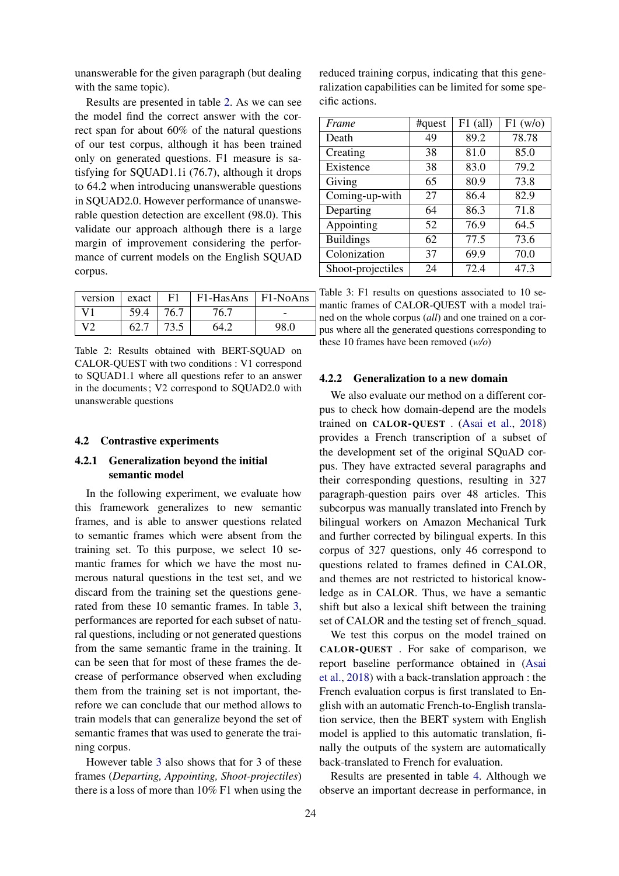unanswerable for the given paragraph (but dealing with the same topic).

Results are presented in table 2. As we can see the model find the correct answer with the correct span for about 60% of the natural questions of our test corpus, although it has been trained only on generated questions. F1 measure is satisfying for SQUAD1.1i (76.7), although it drops to 64.2 when introducing unanswerable questions in SQUAD2.0. However performance of unanswerable question detection are excellent (98.0). This validate our approach although there is a large margin of improvement considering the performance of current models on the English SQUAD corpus.

| version      | $\vert$ exact | F1   | $F1-HasAns$   $F1-NoAns$ |      |
|--------------|---------------|------|--------------------------|------|
| V1           | 59.4          | 76.7 | 76.7                     | -    |
| $\mathbf{V}$ | 62.7          | 73.5 | 64.2                     | 98.0 |

Table 2: Results obtained with BERT-SOUAD on CALOR-QUEST with two conditions : V1 correspond to SQUAD1.1 where all questions refer to an answer in the documents; V2 correspond to SQUAD2.0 with unanswerable questions

#### 4.2 Contrastive experiments

### 4.2.1 Generalization beyond the initial semantic model

In the following experiment, we evaluate how this framework generalizes to new semantic frames, and is able to answer questions related to semantic frames which were absent from the training set. To this purpose, we select 10 semantic frames for which we have the most numerous natural questions in the test set, and we discard from the training set the questions generated from these 10 semantic frames. In table 3, performances are reported for each subset of natural questions, including or not generated questions from the same semantic frame in the training. It can be seen that for most of these frames the decrease of performance observed when excluding them from the training set is not important, therefore we can conclude that our method allows to train models that can generalize beyond the set of semantic frames that was used to generate the training corpus.

However table 3 also shows that for 3 of these frames (*Departing, Appointing, Shoot-projectiles*) there is a loss of more than 10% F1 when using the reduced training corpus, indicating that this generalization capabilities can be limited for some specific actions.

| Frame                               | #quest | $F1$ (all) | F1(w/o) |
|-------------------------------------|--------|------------|---------|
| Death                               | 49     | 89.2       | 78.78   |
| Creating                            | 38     | 81.0       | 85.0    |
| Existence                           | 38     | 83.0       | 79.2    |
| Giving                              | 65     | 80.9       | 73.8    |
| $\overline{\text{Coming}}$ -up-with | 27     | 86.4       | 82.9    |
| Departing                           | 64     | 86.3       | 71.8    |
| Appointing                          | 52     | 76.9       | 64.5    |
| <b>Buildings</b>                    | 62     | 77.5       | 73.6    |
| Colonization                        | 37     | 69.9       | 70.0    |
| Shoot-projectiles                   | 24     | 72.4       | 47.3    |

Table 3: F1 results on questions associated to 10 semantic frames of CALOR-QUEST with a model trained on the whole corpus (*all*) and one trained on a corpus where all the generated questions corresponding to these 10 frames have been removed (*w/o*)

#### 4.2.2 Generalization to a new domain

We also evaluate our method on a different corpus to check how domain-depend are the models trained on CALOR-QUEST . (Asai et al., 2018) provides a French transcription of a subset of the development set of the original SQuAD corpus. They have extracted several paragraphs and their corresponding questions, resulting in 327 paragraph-question pairs over 48 articles. This subcorpus was manually translated into French by bilingual workers on Amazon Mechanical Turk and further corrected by bilingual experts. In this corpus of 327 questions, only 46 correspond to questions related to frames defined in CALOR, and themes are not restricted to historical knowledge as in CALOR. Thus, we have a semantic shift but also a lexical shift between the training set of CALOR and the testing set of french\_squad.

We test this corpus on the model trained on CALOR-QUEST . For sake of comparison, we report baseline performance obtained in (Asai et al., 2018) with a back-translation approach : the French evaluation corpus is first translated to English with an automatic French-to-English translation service, then the BERT system with English model is applied to this automatic translation, finally the outputs of the system are automatically back-translated to French for evaluation.

Results are presented in table 4. Although we observe an important decrease in performance, in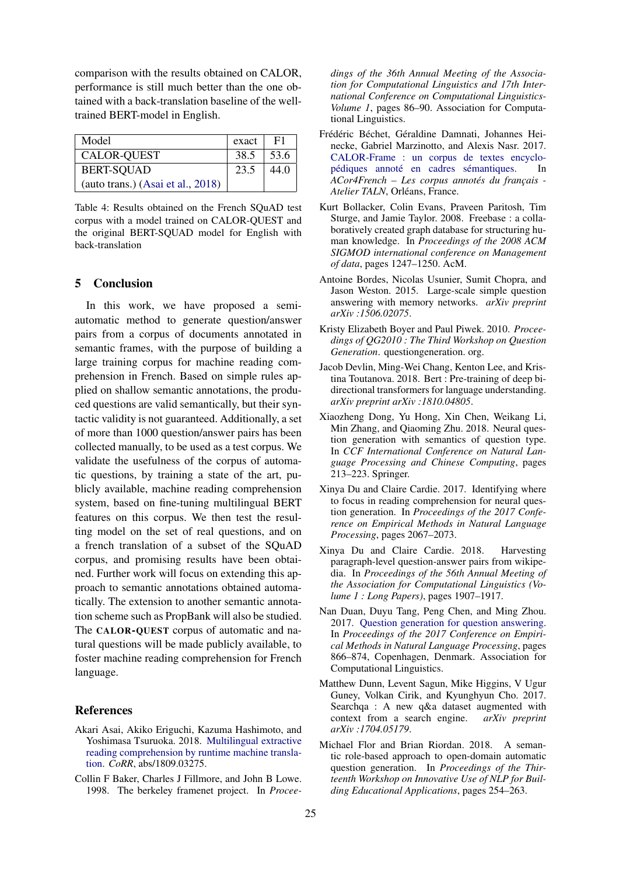comparison with the results obtained on CALOR, performance is still much better than the one obtained with a back-translation baseline of the welltrained BERT-model in English.

| Model                               | exact | F1   |
|-------------------------------------|-------|------|
| <b>CALOR-QUEST</b>                  | 38.5  | 53.6 |
| <b>BERT-SQUAD</b>                   | 23.5  | 44.0 |
| (auto trans.) $(Asai et al., 2018)$ |       |      |

Table 4: Results obtained on the French SQuAD test corpus with a model trained on CALOR-QUEST and the original BERT-SQUAD model for English with back-translation

## 5 Conclusion

In this work, we have proposed a semiautomatic method to generate question/answer pairs from a corpus of documents annotated in semantic frames, with the purpose of building a large training corpus for machine reading comprehension in French. Based on simple rules applied on shallow semantic annotations, the produced questions are valid semantically, but their syntactic validity is not guaranteed. Additionally, a set of more than 1000 question/answer pairs has been collected manually, to be used as a test corpus. We validate the usefulness of the corpus of automatic questions, by training a state of the art, publicly available, machine reading comprehension system, based on fine-tuning multilingual BERT features on this corpus. We then test the resulting model on the set of real questions, and on a french translation of a subset of the SQuAD corpus, and promising results have been obtained. Further work will focus on extending this approach to semantic annotations obtained automatically. The extension to another semantic annotation scheme such as PropBank will also be studied. The CALOR-QUEST corpus of automatic and natural questions will be made publicly available, to foster machine reading comprehension for French language.

### References

- Akari Asai, Akiko Eriguchi, Kazuma Hashimoto, and Yoshimasa Tsuruoka. 2018. Multilingual extractive reading comprehension by runtime machine translation. *CoRR*, abs/1809.03275.
- Collin F Baker, Charles J Fillmore, and John B Lowe. 1998. The berkeley framenet project. In *Procee-*

*dings of the 36th Annual Meeting of the Association for Computational Linguistics and 17th International Conference on Computational Linguistics-Volume 1*, pages 86–90. Association for Computational Linguistics.

- Frédéric Béchet, Géraldine Damnati, Johannes Heinecke, Gabriel Marzinotto, and Alexis Nasr. 2017. CALOR-Frame : un corpus de textes encyclopédiques annoté en cadres sémantiques. In *ACor4French – Les corpus annotés du français - Atelier TALN*, Orléans, France.
- Kurt Bollacker, Colin Evans, Praveen Paritosh, Tim Sturge, and Jamie Taylor. 2008. Freebase : a collaboratively created graph database for structuring human knowledge. In *Proceedings of the 2008 ACM SIGMOD international conference on Management of data*, pages 1247–1250. AcM.
- Antoine Bordes, Nicolas Usunier, Sumit Chopra, and Jason Weston. 2015. Large-scale simple question answering with memory networks. *arXiv preprint arXiv :1506.02075*.
- Kristy Elizabeth Boyer and Paul Piwek. 2010. *Proceedings of QG2010 : The Third Workshop on Question Generation*. questiongeneration. org.
- Jacob Devlin, Ming-Wei Chang, Kenton Lee, and Kristina Toutanova. 2018. Bert : Pre-training of deep bidirectional transformers for language understanding. *arXiv preprint arXiv :1810.04805*.
- Xiaozheng Dong, Yu Hong, Xin Chen, Weikang Li, Min Zhang, and Qiaoming Zhu. 2018. Neural question generation with semantics of question type. In *CCF International Conference on Natural Language Processing and Chinese Computing*, pages 213–223. Springer.
- Xinya Du and Claire Cardie. 2017. Identifying where to focus in reading comprehension for neural question generation. In *Proceedings of the 2017 Conference on Empirical Methods in Natural Language Processing*, pages 2067–2073.
- Xinya Du and Claire Cardie. 2018. Harvesting paragraph-level question-answer pairs from wikipedia. In *Proceedings of the 56th Annual Meeting of the Association for Computational Linguistics (Volume 1 : Long Papers)*, pages 1907–1917.
- Nan Duan, Duyu Tang, Peng Chen, and Ming Zhou. 2017. Question generation for question answering. In *Proceedings of the 2017 Conference on Empirical Methods in Natural Language Processing*, pages 866–874, Copenhagen, Denmark. Association for Computational Linguistics.
- Matthew Dunn, Levent Sagun, Mike Higgins, V Ugur Guney, Volkan Cirik, and Kyunghyun Cho. 2017. Searchqa : A new q&a dataset augmented with context from a search engine. *arXiv preprint arXiv :1704.05179*.
- Michael Flor and Brian Riordan. 2018. A semantic role-based approach to open-domain automatic question generation. In *Proceedings of the Thirteenth Workshop on Innovative Use of NLP for Building Educational Applications*, pages 254–263.